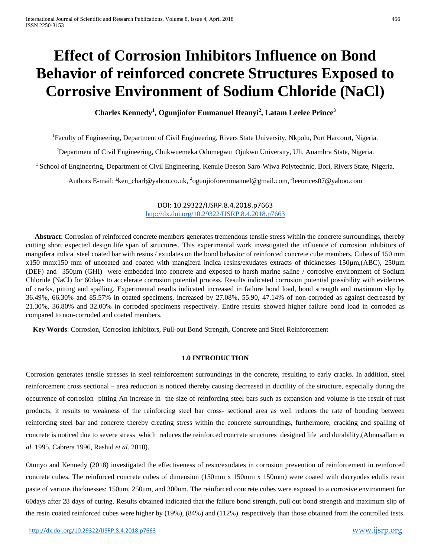# **Effect of Corrosion Inhibitors Influence on Bond Behavior of reinforced concrete Structures Exposed to Corrosive Environment of Sodium Chloride (NaCl)**

**Charles Kennedy<sup>1</sup> , Ogunjiofor Emmanuel Ifeanyi<sup>2</sup> , Latam Leelee Prince3**

<sup>1</sup>Faculty of Engineering, Department of Civil Engineering, Rivers State University, Nkpolu, Port Harcourt, Nigeria.

<sup>2</sup>Department of Civil Engineering, Chukwuemeka Odumegwu Ojukwu University, Uli, Anambra State, Nigeria.

<sup>3,</sup>School of Engineering, Department of Civil Engineering, Kenule Beeson Saro-Wiwa Polytechnic, Bori, Rivers State, Nigeria.

Authors E-mail: <sup>1</sup>[ken\\_charl@yahoo.co.uk,](mailto:1ken_charl@yahoo.co.uk) <sup>2</sup>ogunjioforemmanuel@gmail.com, <sup>3</sup>leeorices07@yahoo.com

DOI: 10.29322/IJSRP.8.4.2018.p7663 <http://dx.doi.org/10.29322/IJSRP.8.4.2018.p7663>

 **Abstract**: Corrosion of reinforced concrete members generates tremendous tensile stress within the concrete surroundings, thereby cutting short expected design life span of structures. This experimental work investigated the influence of corrosion inhibitors of mangifera indica steel coated bar with resins / exudates on the bond behavior of reinforced concrete cube members. Cubes of 150 mm x150 mmx150 mm of uncoated and coated with mangifera indica resins/exudates extracts of thicknesses 150µm,(ABC), 250µm (DEF) and 350µm (GHI) were embedded into concrete and exposed to harsh marine saline / corrosive environment of Sodium Chloride (NaCl) for 60days to accelerate corrosion potential process. Results indicated corrosion potential possibility with evidences of cracks, pitting and spalling. Experimental results indicated increased in failure bond load, bond strength and maximum slip by 36.49%, 66.30% and 85.57% in coated specimens, increased by 27.08%, 55.90, 47.14% of non-corroded as against decreased by 21.30%, 36.80% and 32.00% in corroded specimens respectively. Entire results showed higher failure bond load in corroded as compared to non-corroded and coated members.

 **Key Words**: Corrosion, Corrosion inhibitors, Pull-out Bond Strength, Concrete and Steel Reinforcement

#### **1.0 INTRODUCTION**

Corrosion generates tensile stresses in steel reinforcement surroundings in the concrete, resulting to early cracks. In addition, steel reinforcement cross sectional – area reduction is noticed thereby causing decreased in ductility of the structure, especially during the occurrence of corrosion pitting An increase in the size of reinforcing steel bars such as expansion and volume is the result of rust products, it results to weakness of the reinforcing steel bar cross- sectional area as well reduces the rate of bonding between reinforcing steel bar and concrete thereby creating stress within the concrete surroundings, furthermore, cracking and spalling of concrete is noticed due to severe stress which reduces the reinforced concrete structures designed life and durability,(Almusallam *et al*. 1995, Cabrera 1996, Rashid *et al*. 2010).

Otunyo and Kennedy (2018) investigated the effectiveness of resin/exudates in corrosion prevention of reinforcement in reinforced concrete cubes. The reinforced concrete cubes of dimension (150mm x 150mm x 150mm) were coated with dacryodes edulis resin paste of various thicknesses: 150um, 250um, and 300um. The reinforced concrete cubes were exposed to a corrosive environment for 60days after 28 days of curing. Results obtained indicated that the failure bond strength, pull out bond strength and maximum slip of the resin coated reinforced cubes were higher by (19%), (84%) and (112%). respectively than those obtained from the controlled tests.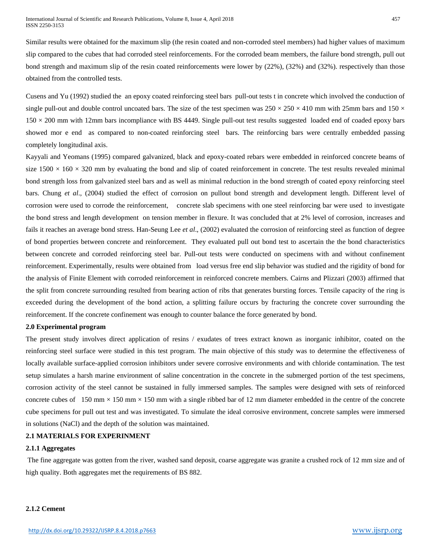Similar results were obtained for the maximum slip (the resin coated and non-corroded steel members) had higher values of maximum slip compared to the cubes that had corroded steel reinforcements. For the corroded beam members, the failure bond strength, pull out bond strength and maximum slip of the resin coated reinforcements were lower by (22%), (32%) and (32%). respectively than those obtained from the controlled tests.

Cusens and Yu (1992) studied the an epoxy coated reinforcing steel bars pull-out tests t in concrete which involved the conduction of single pull-out and double control uncoated bars. The size of the test specimen was  $250 \times 250 \times 410$  mm with  $25$ mm bars and  $150 \times$  $150 \times 200$  mm with 12mm bars incompliance with BS 4449. Single pull-out test results suggested loaded end of coaded epoxy bars showed mor e end as compared to non-coated reinforcing steel bars. The reinforcing bars were centrally embedded passing completely longitudinal axis.

Kayyali and Yeomans (1995) compared galvanized, black and epoxy-coated rebars were embedded in reinforced concrete beams of size  $1500 \times 160 \times 320$  mm by evaluating the bond and slip of coated reinforcement in concrete. The test results revealed minimal bond strength loss from galvanized steel bars and as well as minimal reduction in the bond strength of coated epoxy reinforcing steel bars. Chung *et al*., (2004) studied the effect of corrosion on pullout bond strength and development length. Different level of corrosion were used to corrode the reinforcement, concrete slab specimens with one steel reinforcing bar were used to investigate the bond stress and length development on tension member in flexure. It was concluded that at 2% level of corrosion, increases and fails it reaches an average bond stress. Han-Seung Lee *et al*., (2002) evaluated the corrosion of reinforcing steel as function of degree of bond properties between concrete and reinforcement. They evaluated pull out bond test to ascertain the the bond characteristics between concrete and corroded reinforcing steel bar. Pull-out tests were conducted on specimens with and without confinement reinforcement. Experimentally, results were obtained from load versus free end slip behavior was studied and the rigidity of bond for the analysis of Finite Element with corroded reinforcement in reinforced concrete members. Cairns and Plizzari (2003) affirmed that the split from concrete surrounding resulted from bearing action of ribs that generates bursting forces. Tensile capacity of the ring is exceeded during the development of the bond action, a splitting failure occurs by fracturing the concrete cover surrounding the reinforcement. If the concrete confinement was enough to counter balance the force generated by bond.

## **2.0 Experimental program**

The present study involves direct application of resins / exudates of trees extract known as inorganic inhibitor, coated on the reinforcing steel surface were studied in this test program. The main objective of this study was to determine the effectiveness of locally available surface-applied corrosion inhibitors under severe corrosive environments and with chloride contamination. The test setup simulates a harsh marine environment of saline concentration in the concrete in the submerged portion of the test specimens, corrosion activity of the steel cannot be sustained in fully immersed samples. The samples were designed with sets of reinforced concrete cubes of 150 mm  $\times$  150 mm  $\times$  150 mm with a single ribbed bar of 12 mm diameter embedded in the centre of the concrete cube specimens for pull out test and was investigated. To simulate the ideal corrosive environment, concrete samples were immersed in solutions (NaCl) and the depth of the solution was maintained.

## **2.1 MATERIALS FOR EXPERINMENT**

#### **2.1.1 Aggregates**

The fine aggregate was gotten from the river, washed sand deposit, coarse aggregate was granite a crushed rock of 12 mm size and of high quality. Both aggregates met the requirements of BS 882.

#### **2.1.2 Cement**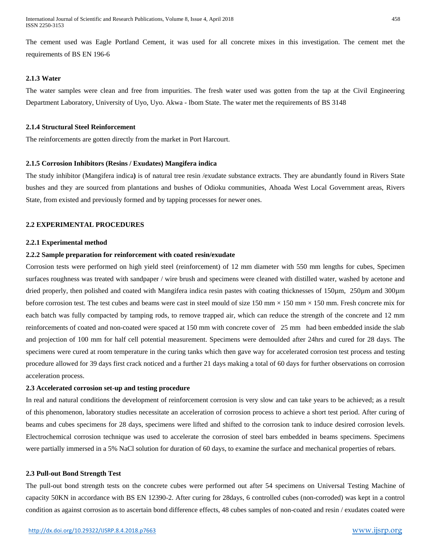The cement used was Eagle Portland Cement, it was used for all concrete mixes in this investigation. The cement met the requirements of BS EN 196-6

## **2.1.3 Water**

The water samples were clean and free from impurities. The fresh water used was gotten from the tap at the Civil Engineering Department Laboratory, University of Uyo, Uyo. Akwa - Ibom State. The water met the requirements of BS 3148

### **2.1.4 Structural Steel Reinforcement**

The reinforcements are gotten directly from the market in Port Harcourt.

#### **2.1.5 Corrosion Inhibitors (Resins / Exudates) Mangifera indica**

The study inhibitor (Mangifera indica**)** is of natural tree resin /exudate substance extracts. They are abundantly found in Rivers State bushes and they are sourced from plantations and bushes of Odioku communities, Ahoada West Local Government areas, Rivers State, from existed and previously formed and by tapping processes for newer ones.

# **2.2 EXPERIMENTAL PROCEDURES**

#### **2.2.1 Experimental method**

#### **2.2.2 Sample preparation for reinforcement with coated resin/exudate**

Corrosion tests were performed on high yield steel (reinforcement) of 12 mm diameter with 550 mm lengths for cubes, Specimen surfaces roughness was treated with sandpaper / wire brush and specimens were cleaned with distilled water, washed by acetone and dried properly, then polished and coated with Mangifera indica resin pastes with coating thicknesses of 150µm, 250µm and 300µm before corrosion test. The test cubes and beams were cast in steel mould of size 150 mm  $\times$  150 mm  $\times$  150 mm. Fresh concrete mix for each batch was fully compacted by tamping rods, to remove trapped air, which can reduce the strength of the concrete and 12 mm reinforcements of coated and non-coated were spaced at 150 mm with concrete cover of 25 mm had been embedded inside the slab and projection of 100 mm for half cell potential measurement. Specimens were demoulded after 24hrs and cured for 28 days. The specimens were cured at room temperature in the curing tanks which then gave way for accelerated corrosion test process and testing procedure allowed for 39 days first crack noticed and a further 21 days making a total of 60 days for further observations on corrosion acceleration process.

#### **2.3 Accelerated corrosion set-up and testing procedure**

In real and natural conditions the development of reinforcement corrosion is very slow and can take years to be achieved; as a result of this phenomenon, laboratory studies necessitate an acceleration of corrosion process to achieve a short test period. After curing of beams and cubes specimens for 28 days, specimens were lifted and shifted to the corrosion tank to induce desired corrosion levels. Electrochemical corrosion technique was used to accelerate the corrosion of steel bars embedded in beams specimens. Specimens were partially immersed in a 5% NaCl solution for duration of 60 days, to examine the surface and mechanical properties of rebars.

#### **2.3 Pull-out Bond Strength Test**

The pull-out bond strength tests on the concrete cubes were performed out after 54 specimens on Universal Testing Machine of capacity 50KN in accordance with BS EN 12390-2. After curing for 28days, 6 controlled cubes (non-corroded) was kept in a control condition as against corrosion as to ascertain bond difference effects, 48 cubes samples of non-coated and resin / exudates coated were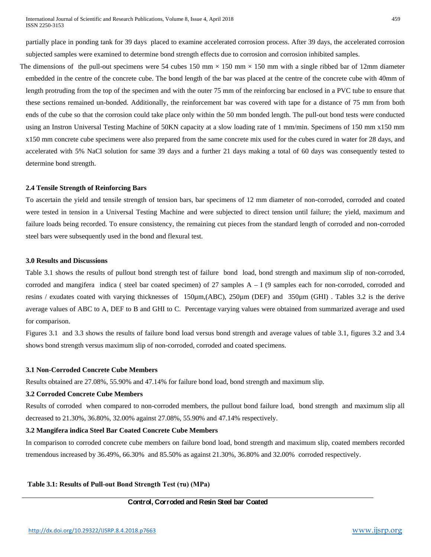partially place in ponding tank for 39 days placed to examine accelerated corrosion process. After 39 days, the accelerated corrosion subjected samples were examined to determine bond strength effects due to corrosion and corrosion inhibited samples.

The dimensions of the pull-out specimens were 54 cubes 150 mm  $\times$  150 mm  $\times$  150 mm with a single ribbed bar of 12mm diameter embedded in the centre of the concrete cube. The bond length of the bar was placed at the centre of the concrete cube with 40mm of length protruding from the top of the specimen and with the outer 75 mm of the reinforcing bar enclosed in a PVC tube to ensure that these sections remained un-bonded. Additionally, the reinforcement bar was covered with tape for a distance of 75 mm from both ends of the cube so that the corrosion could take place only within the 50 mm bonded length. The pull-out bond tests were conducted using an Instron Universal Testing Machine of 50KN capacity at a slow loading rate of 1 mm/min. Specimens of 150 mm x150 mm x150 mm concrete cube specimens were also prepared from the same concrete mix used for the cubes cured in water for 28 days, and accelerated with 5% NaCl solution for same 39 days and a further 21 days making a total of 60 days was consequently tested to determine bond strength.

#### **2.4 Tensile Strength of Reinforcing Bars**

To ascertain the yield and tensile strength of tension bars, bar specimens of 12 mm diameter of non-corroded, corroded and coated were tested in tension in a Universal Testing Machine and were subjected to direct tension until failure; the yield, maximum and failure loads being recorded. To ensure consistency, the remaining cut pieces from the standard length of corroded and non-corroded steel bars were subsequently used in the bond and flexural test.

## **3.0 Results and Discussions**

Table 3.1 shows the results of pullout bond strength test of failure bond load, bond strength and maximum slip of non-corroded, corroded and mangifera indica ( steel bar coated specimen) of 27 samples  $A - I$  (9 samples each for non-corroded, corroded and resins / exudates coated with varying thicknesses of 150µm,(ABC), 250µm (DEF) and 350µm (GHI) . Tables 3.2 is the derive average values of ABC to A, DEF to B and GHI to C. Percentage varying values were obtained from summarized average and used for comparison.

Figures 3.1 and 3.3 shows the results of failure bond load versus bond strength and average values of table 3.1, figures 3.2 and 3.4 shows bond strength versus maximum slip of non-corroded, corroded and coated specimens.

## **3.1 Non-Corroded Concrete Cube Members**

Results obtained are 27.08%, 55.90% and 47.14% for failure bond load, bond strength and maximum slip.

#### **3.2 Corroded Concrete Cube Members**

Results of corroded when compared to non-corroded members, the pullout bond failure load, bond strength and maximum slip all decreased to 21.30%, 36.80%, 32.00% against 27.08%, 55.90% and 47.14% respectively.

## **3.2 Mangifera indica Steel Bar Coated Concrete Cube Members**

In comparison to corroded concrete cube members on failure bond load, bond strength and maximum slip, coated members recorded tremendous increased by 36.49%, 66.30% and 85.50% as against 21.30%, 36.80% and 32.00% corroded respectively.

## **Table 3.1: Results of Pull-out Bond Strength Test (τu) (MPa)**

## **Control, Corroded and Resin Steel bar Coated**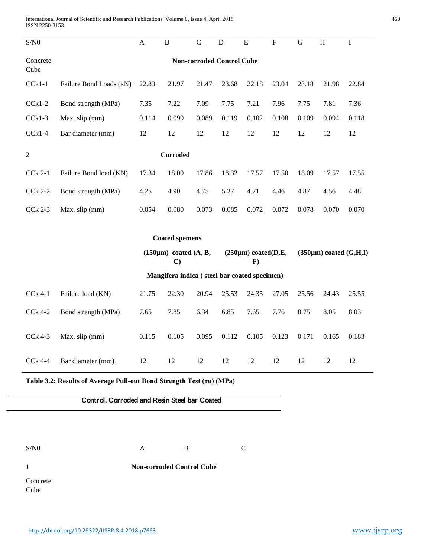International Journal of Scientific and Research Publications, Volume 8, Issue 4, April 2018 460 ISSN 2250-3153

| $\mathrm{S/N0}$                                                      |                                  | $\mathbf{A}$ | $\, {\bf B}$                                                                              | $\overline{C}$ | ${\bf D}$ | ${\bf E}$ | $\boldsymbol{\mathrm{F}}$      | ${\bf G}$ | $\, {\rm H}$ | $\mathbf I$ |
|----------------------------------------------------------------------|----------------------------------|--------------|-------------------------------------------------------------------------------------------|----------------|-----------|-----------|--------------------------------|-----------|--------------|-------------|
| Concrete<br>Cube                                                     | <b>Non-corroded Control Cube</b> |              |                                                                                           |                |           |           |                                |           |              |             |
| $CCK1-1$                                                             | Failure Bond Loads (kN)          | 22.83        | 21.97                                                                                     | 21.47          | 23.68     | 22.18     | 23.04                          | 23.18     | 21.98        | 22.84       |
| $Cck1-2$                                                             | Bond strength (MPa)              | 7.35         | 7.22                                                                                      | 7.09           | 7.75      | 7.21      | 7.96                           | 7.75      | 7.81         | 7.36        |
| $Cck1-3$                                                             | Max. slip (mm)                   | 0.114        | 0.099                                                                                     | 0.089          | 0.119     | 0.102     | 0.108                          | 0.109     | 0.094        | 0.118       |
| $Cck1-4$                                                             | Bar diameter (mm)                | 12           | 12                                                                                        | 12             | 12        | 12        | 12                             | 12        | 12           | 12          |
| Corroded<br>$\mathfrak{2}$                                           |                                  |              |                                                                                           |                |           |           |                                |           |              |             |
| <b>CCk 2-1</b>                                                       | Failure Bond load (KN)           | 17.34        | 18.09                                                                                     | 17.86          | 18.32     | 17.57     | 17.50                          | 18.09     | 17.57        | 17.55       |
| <b>CCk 2-2</b>                                                       | Bond strength (MPa)              | 4.25         | 4.90                                                                                      | 4.75           | 5.27      | 4.71      | 4.46                           | 4.87      | 4.56         | 4.48        |
| <b>CCk 2-3</b>                                                       | Max. slip (mm)                   | 0.054        | 0.080                                                                                     | 0.073          | 0.085     | 0.072     | 0.072                          | 0.078     | 0.070        | 0.070       |
|                                                                      |                                  |              |                                                                                           |                |           |           |                                |           |              |             |
| <b>Coated spemens</b>                                                |                                  |              |                                                                                           |                |           |           |                                |           |              |             |
|                                                                      |                                  |              | $(150\mu m)$ coated $(A, B,$<br>$(250 \mu m)$ coated(D,E,<br>$\mathbf{F}$<br>$\mathbf{C}$ |                |           |           | $(350 \mu m)$ coated $(G,H,I)$ |           |              |             |
| Mangifera indica (steel bar coated specimen)                         |                                  |              |                                                                                           |                |           |           |                                |           |              |             |
| <b>CCk 4-1</b>                                                       | Failure load (KN)                | 21.75        | 22.30                                                                                     | 20.94          | 25.53     | 24.35     | 27.05                          | 25.56     | 24.43        | 25.55       |
| <b>CCk 4-2</b>                                                       | Bond strength (MPa)              | 7.65         | 7.85                                                                                      | 6.34           | 6.85      | 7.65      | 7.76                           | 8.75      | 8.05         | 8.03        |
| <b>CCk 4-3</b>                                                       | Max. slip (mm)                   | 0.115        | 0.105                                                                                     | 0.095          | 0.112     | 0.105     | 0.123                          | 0.171     | 0.165        | 0.183       |
| $Cck$ 4-4                                                            | Bar diameter (mm)                | 12           | 12                                                                                        | 12             | 12        | 12        | 12                             | 12        | 12           | 12          |
| Table 3.2: Results of Average Pull-out Bond Strength Test (τu) (MPa) |                                  |              |                                                                                           |                |           |           |                                |           |              |             |
| Control, Corroded and Resin Steel bar Coated                         |                                  |              |                                                                                           |                |           |           |                                |           |              |             |
|                                                                      |                                  |              |                                                                                           |                |           |           |                                |           |              |             |
|                                                                      |                                  |              |                                                                                           |                |           |           |                                |           |              |             |

 $S/N0$  A B C

**Non-corroded Control Cube**

1

Concrete Cube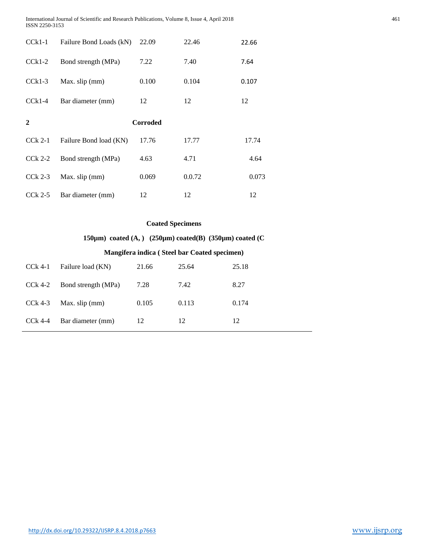International Journal of Scientific and Research Publications, Volume 8, Issue 4, April 2018 461 ISSN 2250-3153

| $CCR1-1$     | Failure Bond Loads (kN) | 22.09           | 22.46  | 22.66 |
|--------------|-------------------------|-----------------|--------|-------|
| $Cck1-2$     | Bond strength (MPa)     | 7.22            | 7.40   | 7.64  |
| $Cck1-3$     | Max. slip (mm)          | 0.100           | 0.104  | 0.107 |
| $Cck1-4$     | Bar diameter (mm)       | 12              | 12     | 12    |
| $\mathbf{2}$ |                         | <b>Corroded</b> |        |       |
| $Cck$ 2-1    | Failure Bond load (KN)  | 17.76           | 17.77  | 17.74 |
| $Cck$ 2-2    | Bond strength (MPa)     | 4.63            | 4.71   | 4.64  |
| $Cck$ 2-3    | Max. slip (mm)          | 0.069           | 0.0.72 | 0.073 |
| $Cck$ 2-5    | Bar diameter (mm)       | 12              | 12     | 12    |

# **Coated Specimens**

**150µm) coated (A, ) (250µm) coated(B) (350µm) coated (C**

## **Mangifera indica ( Steel bar Coated specimen)**

| CCk 4-1   | Failure load (KN)   | 21.66 | 25.64 | 25.18 |
|-----------|---------------------|-------|-------|-------|
| CCk 4-2   | Bond strength (MPa) | 7.28  | 7.42  | 8.27  |
| CCk 4-3   | Max. slip (mm)      | 0.105 | 0.113 | 0.174 |
| $Cck$ 4-4 | Bar diameter (mm)   | 12    | 12    | 12    |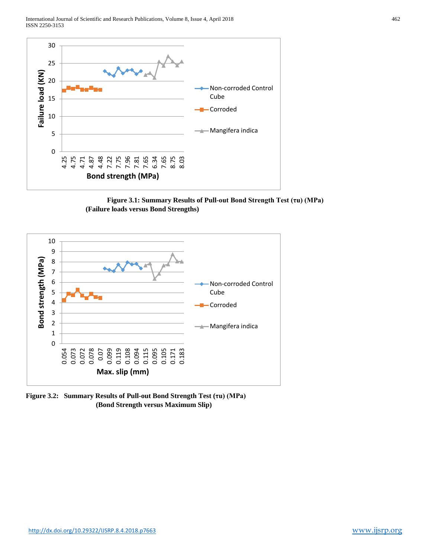International Journal of Scientific and Research Publications, Volume 8, Issue 4, April 2018 462 ISSN 2250-3153



**Figure 3.1: Summary Results of Pull-out Bond Strength Test (τu) (MPa) (Failure loads versus Bond Strengths)**



**Figure 3.2: Summary Results of Pull-out Bond Strength Test (τu) (MPa) (Bond Strength versus Maximum Slip)**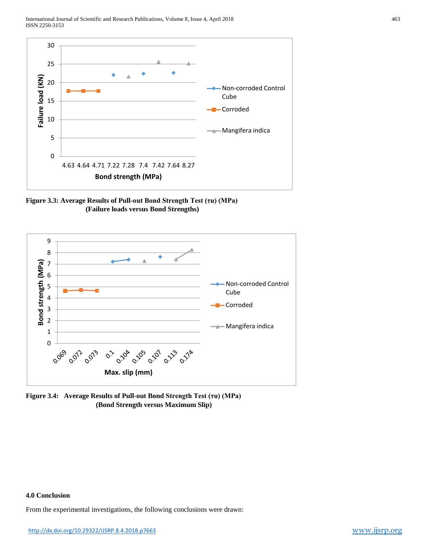International Journal of Scientific and Research Publications, Volume 8, Issue 4, April 2018 463 ISSN 2250-3153



**Figure 3.3: Average Results of Pull-out Bond Strength Test (τu) (MPa) (Failure loads versus Bond Strengths)**



**Figure 3.4: Average Results of Pull-out Bond Strength Test (τu) (MPa) (Bond Strength versus Maximum Slip)**

# **4.0 Conclusion**

From the experimental investigations, the following conclusions were drawn: